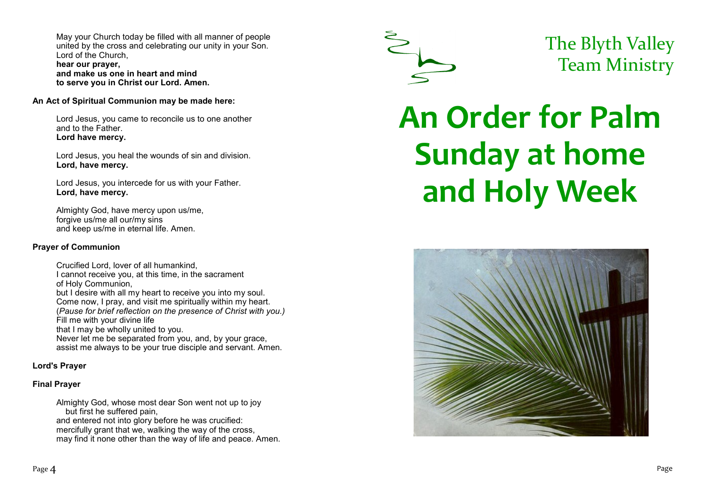May your Church today be filled with all manner of people united by the cross and celebrating our unity in your Son. Lord of the Church, **hear our prayer, and make us one in heart and mind**

**to serve you in Christ our Lord. Amen.**

#### **An Act of Spiritual Communion may be made here:**

Lord Jesus, you came to reconcile us to one another and to the Father. **Lord have mercy.**

Lord Jesus, you heal the wounds of sin and division. **Lord, have mercy.**

Lord Jesus, you intercede for us with your Father. **Lord, have mercy.**

Almighty God, have mercy upon us/me, forgive us/me all our/my sins and keep us/me in eternal life. Amen.

#### **Prayer of Communion**

Crucified Lord, lover of all humankind, I cannot receive you, at this time, in the sacrament of Holy Communion, but I desire with all my heart to receive you into my soul. Come now, I pray, and visit me spiritually within my heart. (*Pause for brief reflection on the presence of Christ with you.)* Fill me with your divine life that I may be wholly united to you. Never let me be separated from you, and, by your grace, assist me always to be your true disciple and servant. Amen.

# **Lord's Prayer**

# **Final Prayer**

Almighty God, whose most dear Son went not up to joy but first he suffered pain, and entered not into glory before he was crucified: mercifully grant that we, walking the way of the cross, may find it none other than the way of life and peace. Amen.



# The Blyth Valley Team Ministry

# **An Order for Palm Sunday at home and Holy Week**